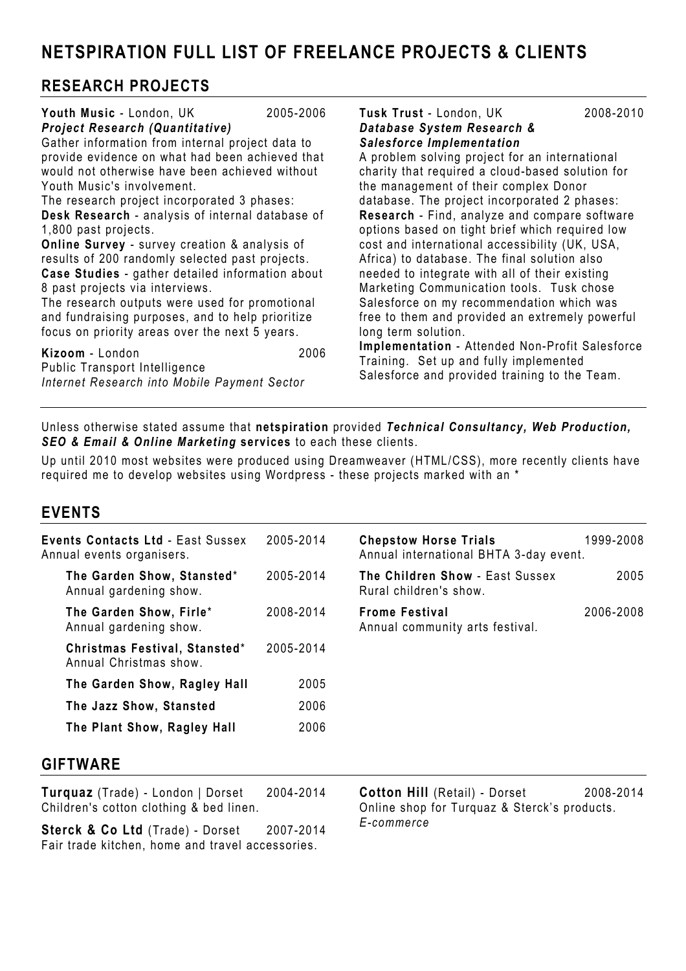NETSPIRATION FULL LIST OF FREELANCE PROJECTS & CLIENTS

## RESEARCH PROJECTS

#### Youth Music - London, UK 2005-2006 Project Research (Quantitative)

Gather information from internal project data to provide evidence on what had been achieved that would not otherwise have been achieved without Youth Music's involvement.

The research project incorporated 3 phases: Desk Research - analysis of internal database of 1,800 past projects.

Online Survey - survey creation & analysis of results of 200 randomly selected past projects. Case Studies - gather detailed information about 8 past projects via interviews.

The research outputs were used for promotional and fundraising purposes, and to help prioritize focus on priority areas over the next 5 years.

Kizoom - London 2006 Public Transport Intelligence Internet Research into Mobile Payment Sector

Tusk Trust - London, UK 2008-2010 Database System Research & Salesforce Implementation

A problem solving project for an international charity that required a cloud-based solution for the management of their complex Donor database. The project incorporated 2 phases: Research - Find, analyze and compare software options based on tight brief which required low cost and international accessibility (UK, USA, Africa) to database. The final solution also needed to integrate with all of their existing Marketing Communication tools. Tusk chose Salesforce on my recommendation which was free to them and provided an extremely powerful long term solution.

Implementation - Attended Non-Profit Salesforce Training. Set up and fully implemented Salesforce and provided training to the Team.

#### Unless otherwise stated assume that netspiration provided Technical Consultancy, Web Production, SEO & Email & Online Marketing services to each these clients.

Up until 2010 most websites were produced using Dreamweaver (HTML/CSS), more recently clients have required me to develop websites using Wordpress - these projects marked with an \*

### EVENTS

| <b>Events Contacts Ltd - East Sussex</b><br>Annual events organisers. | 2005-2014 | <b>Chepstow Horse Trials</b><br>Annual international BHTA 3-day event. | 1999-2008 |
|-----------------------------------------------------------------------|-----------|------------------------------------------------------------------------|-----------|
| The Garden Show, Stansted*<br>Annual gardening show.                  | 2005-2014 | The Children Show - East Sussex<br>Rural children's show.              | 2005      |
| The Garden Show, Firle*<br>Annual gardening show.                     | 2008-2014 | <b>Frome Festival</b><br>Annual community arts festival.               | 2006-2008 |
| Christmas Festival, Stansted*<br>Annual Christmas show.               | 2005-2014 |                                                                        |           |
| The Garden Show, Ragley Hall                                          | 2005      |                                                                        |           |
| The Jazz Show, Stansted                                               | 2006      |                                                                        |           |
| The Plant Show, Ragley Hall                                           | 2006      |                                                                        |           |
|                                                                       |           |                                                                        |           |

### GIFTWARE

Turquaz (Trade) - London | Dorset 2004-2014 Children's cotton clothing & bed linen.

Sterck & Co Ltd (Trade) - Dorset 2007-2014 Fair trade kitchen, home and travel accessories.

Cotton Hill (Retail) - Dorset 2008-2014 Online shop for Turquaz & Sterck's products. E-commerce